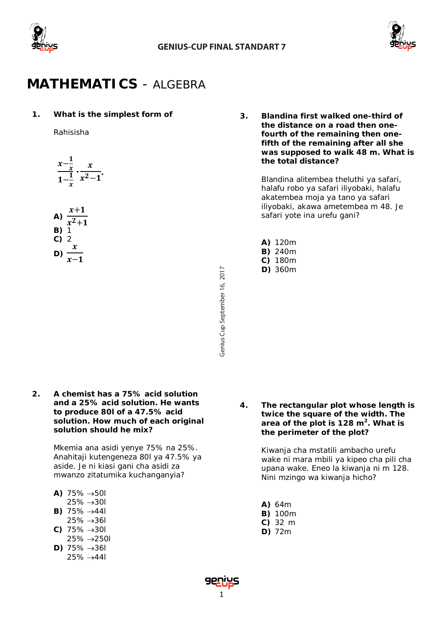



# **MATHEMATICS** *- ALGEBRA*

# **1. What is the simplest form of**

*Rahisisha*

 $\frac{x-\frac{1}{x}}{x}$  $1-\frac{1}{x}$  $-\frac{x}{2}$  $\frac{x^2-1}{x^2-1}$ 

A) 
$$
\frac{x+1}{x^2+1}
$$
  
\nB) 1  
\nC) 2  
\nD)  $\frac{x}{x-1}$ 

Genius Cup September 16, 2017 Cup September 16, 2017 **fourth of the remaining then onefifth of the remaining after all she was supposed to walk 48 m. What is the total distance?** 

**3. Blandina first walked one-third of the distance on a road then one-**

> *Blandina alitembea theluthi ya safari, halafu robo ya safari iliyobaki, halafu akatembea moja ya tano ya safari iliyobaki, akawa ametembea m 48. Je safari yote ina urefu gani?*

| A) | 120m |
|----|------|
| B) | 240m |
| C) | 180m |

**D)** 360m

**2. A chemist has a 75% acid solution and a 25% acid solution. He wants to produce 80***l* **of a 47.5% acid solution. How much of each original solution should he mix?**

> *Mkemia ana asidi yenye 75% na 25%. Anahitaji kutengeneza* 80*l ya 47.5% ya aside. Je ni kiasi gani cha asidi za mwanzo zitatumika kuchanganyia?*

|      | A) 75% $\rightarrow$ 50/ |  |
|------|--------------------------|--|
| ∠ח ה | $. \cap$                 |  |

- 25% →30*l* **B)** 75% →44*l*
- 25% →36*l*
- **C)** 75% →30*l*
- 25% →250*l*
- **D)** 75% →36*l* 25% →44*l*

**4. The rectangular plot whose length is twice the square of the width. The area of the plot is 128 m2. What is the perimeter of the plot?** 

> *Kiwanja cha mstatili ambacho urefu wake ni mara mbili ya kipeo cha pili cha upana wake. Eneo la kiwanja ni m 128. Nini mzingo wa kiwanja hicho?*

- **A)** 64m
- **B)** 100m
- **C)** 32 m
- **D)** 72m

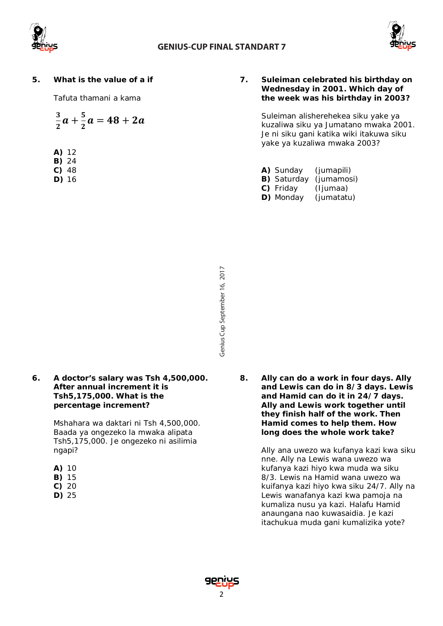



# **5. What is the value of a if**

*Tafuta thamani a kama*

$$
\frac{3}{2}a+\frac{5}{2}a=48+2a
$$

- **A)** 12
- **B)** 24
- **C)** 48
- **D)** 16

## **7. Suleiman celebrated his birthday on Wednesday in 2001. Which day of the week was his birthday in 2003?**

*Suleiman alisherehekea siku yake ya kuzaliwa siku ya Jumatano mwaka 2001. Je ni siku gani katika wiki itakuwa siku yake ya kuzaliwa mwaka 2003?*

- **A)** Sunday *(jumapili)*  **B)** Saturday *(jumamosi)*
- **C)** Friday *(Ijumaa)*
- **D)** Monday *(jumatatu)*

- Genius Cup September 16, 2017 Cup September 16, 2017
- **6. A doctor's salary was Tsh 4,500,000. After annual increment it is Tsh5,175,000. What is the percentage increment?**

*Mshahara wa daktari ni Tsh 4,500,000. Baada ya ongezeko la mwaka alipata Tsh5,175,000. Je ongezeko ni asilimia ngapi?*

| ı<br>n | ٠ |
|--------|---|
|        |   |

- **B)** 15
- **C)** 20
- **D)** 25

**8. Ally can do a work in four days. Ally and Lewis can do in 8/3 days. Lewis and Hamid can do it in 24/7 days. Ally and Lewis work together until they finish half of the work. Then Hamid comes to help them. How long does the whole work take?**

> *Ally ana uwezo wa kufanya kazi kwa siku nne. Ally na Lewis wana uwezo wa kufanya kazi hiyo kwa muda wa siku 8/3. Lewis na Hamid wana uwezo wa kuifanya kazi hiyo kwa siku 24/7. Ally na Lewis wanafanya kazi kwa pamoja na kumaliza nusu ya kazi. Halafu Hamid anaungana nao kuwasaidia. Je kazi itachukua muda gani kumalizika yote?*

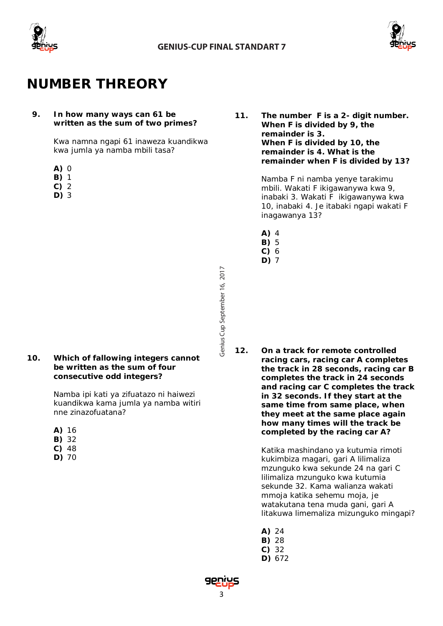

Genius Cup September 16, 2017



# **NUMBER THREORY**

### **9. In how many ways can 61 be written as the sum of two primes?**

*Kwa namna ngapi 61 inaweza kuandikwa kwa jumla ya namba mbili tasa?*

- **A)** 0
- **B)** 1
- **C)** 2
- **D)** 3

**10. Which of fallowing integers cannot be written as the sum of four consecutive odd integers?**

> *Namba ipi kati ya zifuatazo ni haiwezi kuandikwa kama jumla ya namba witiri nne zinazofuatana?*

- **A)** 16
- **B)** 32
- **C)** 48 **D)** 70

**11. The number** *F* **is a 2- digit number. When** *F* **is divided by 9, the remainder is 3. When** *F* **is divided by 10, the remainder is 4. What is the remainder when** *F* **is divided by 13?**

> *Namba F ni namba yenye tarakimu mbili. Wakati F ikigawanywa kwa 9, inabaki 3. Wakati F ikigawanywa kwa 10, inabaki 4. Je itabaki ngapi wakati F inagawanya 13?*

- **A)** 4
- **B)** 5
- **C)** 6
- **D)** 7

**12. On a track for remote controlled racing cars, racing car A completes the track in 28 seconds, racing car B completes the track in 24 seconds and racing car C completes the track in 32 seconds. If they start at the same time from same place, when they meet at the same place again how many times will the track be completed by the racing car A?**

> *Katika mashindano ya kutumia rimoti kukimbiza magari, gari A lilimaliza mzunguko kwa sekunde 24 na gari C lilimaliza mzunguko kwa kutumia sekunde 32. Kama walianza wakati mmoja katika sehemu moja, je watakutana tena muda gani, gari A litakuwa limemaliza mizunguko mingapi?*

- **A)** 24
- **B)** 28
- **C)** 32
- **D)** 672

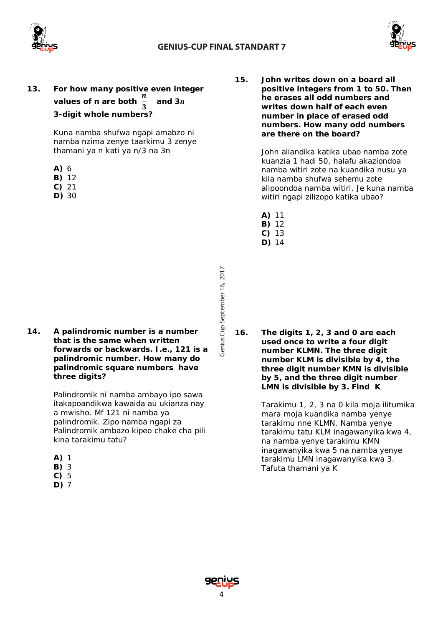

Genius Cup September 16, 2017



**13. For how many positive even integer values of n are both**   $\mathbf{r}$ **and 3***n* **3-digit whole numbers?**

> *Kuna namba shufwa ngapi amabzo ni namba nzima zenye taarkimu 3 zenye thamani ya n kati ya n/3 na 3n*

- **A)** 6
- **B)** 12
- **C)** 21
- **D)** 30

**14. A palindromic number is a number that is the same when written forwards or backwards. I.e., 121 is a palindromic number. How many do palindromic square numbers have three digits?**

> *Palindromik ni namba ambayo ipo sawa itakapoandikwa kawaida au ukianza nay a mwisho. Mf 121 ni namba ya palindromik. Zipo namba ngapi za Palindromik ambazo kipeo chake cha pili kina tarakimu tatu?*

- **A)** 1
- **B)** 3
- **C)** 5
- **D)** 7

**15. John writes down on a board all positive integers from 1 to 50. Then he erases all odd numbers and writes down half of each even number in place of erased odd numbers. How many odd numbers are there on the board?**

> *John aliandika katika ubao namba zote kuanzia 1 hadi 50, halafu akaziondoa namba witiri zote na kuandika nusu ya kila namba shufwa sehemu zote alipoondoa namba witiri. Je kuna namba witiri ngapi zilizopo katika ubao?*

- **A)** 11
- **B)** 12
- **C)** 13
- **D)** 14

*16.* **The digits 1, 2, 3 and 0 are each used once to write a four digit number** *KLMN.* **The three digit number** *KLM* **is divisible by 4, the three digit number** *KMN* **is divisible by 5, and the three digit number**  *LMN* **is divisible by 3. Find** *K* 

> *Tarakimu 1, 2, 3 na 0 kila moja ilitumika mara moja kuandika namba yenye tarakimu nne KLMN. Namba yenye tarakimu tatu KLM inagawanyika kwa 4, na namba yenye tarakimu KMN inagawanyika kwa 5 na namba yenye tarakimu LMN inagawanyika kwa 3. Tafuta thamani ya K*

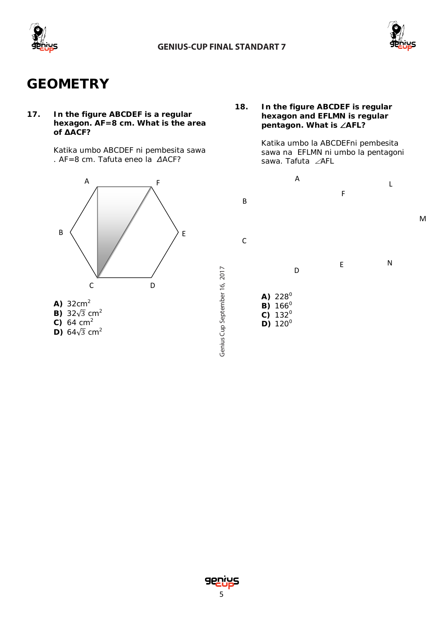

Genius Cup September 16, 2017



# **GEOMETRY**

**17. In the figure ABCDEF is a regular hexagon. AF=8 cm. What is the area of ∆ACF?**

> *Katika umbo ABCDEF ni pembesita sawa . AF=8 cm. Tafuta eneo la ∆ACF?*



- 
- **B)**  $32\sqrt{3}$  cm<sup>2</sup> **C)** 64 cm<sup>2</sup>
- **D)** 64 $\sqrt{3}$  cm<sup>2</sup>
- 

# **18. In the figure ABCDEF is regular hexagon and EFLMN is regular pentagon. What is** ∠**AFL?**

*Katika umbo la ABCDEFni pembesita sawa na EFLMN ni umbo la pentagoni sawa. Tafuta* ∠*AFL*



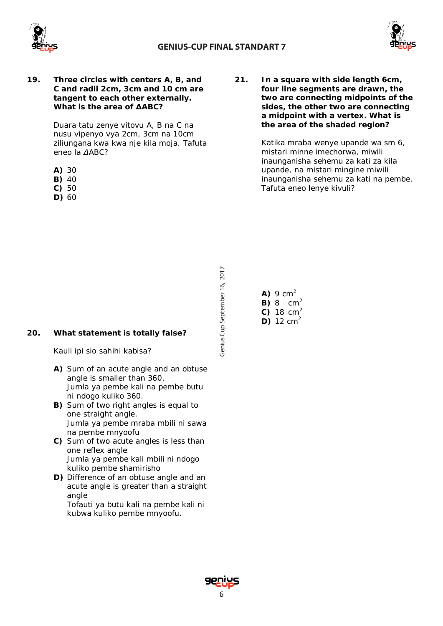



**19. Three circles with centers A, B, and C and radii 2cm, 3cm and 10 cm are tangent to each other externally. What is the area of ∆ABC?**

> *Duara tatu zenye vitovu A, B na C na nusu vipenyo vya 2cm, 3cm na 10cm ziliungana kwa kwa nje kila moja. Tafuta eneo la ∆ABC?*

- **A)** 30
- **B)** 40
- **C)** 50
- **D)** 60

**21. In a square with side length 6cm, four line segments are drawn, the two are connecting midpoints of the sides, the other two are connecting a midpoint with a vertex. What is the area of the shaded region?**

> *Katika mraba wenye upande wa sm 6, mistari minne imechorwa, miwili inaunganisha sehemu za kati za kila upande, na mistari mingine miwili inaunganisha sehemu za kati na pembe. Tafuta eneo lenye kivuli?*

- Genius Cup September 16, 2017 Cup September 16, 2017
- **20. What statement is totally false?**

## *Kauli ipi sio sahihi kabisa?*

- **A)** Sum of an acute angle and an obtuse angle is smaller than 360. *Jumla ya pembe kali na pembe butu ni ndogo kuliko 360.*
- **B)** Sum of two right angles is equal to one straight angle. *Jumla ya pembe mraba mbili ni sawa na pembe mnyoofu*
- **C)** Sum of two acute angles is less than one reflex angle *Jumla ya pembe kali mbili ni ndogo kuliko pembe shamirisho*
- **D)** Difference of an obtuse angle and an acute angle is greater than a straight angle

*Tofauti ya butu kali na pembe kali ni kubwa kuliko pembe mnyoofu.*

|  | <b>A)</b> 9 $cm2$  |
|--|--------------------|
|  | <b>B)</b> 8 $cm2$  |
|  | <b>C)</b> 18 $cm2$ |
|  | <b>D)</b> 12 $cm2$ |

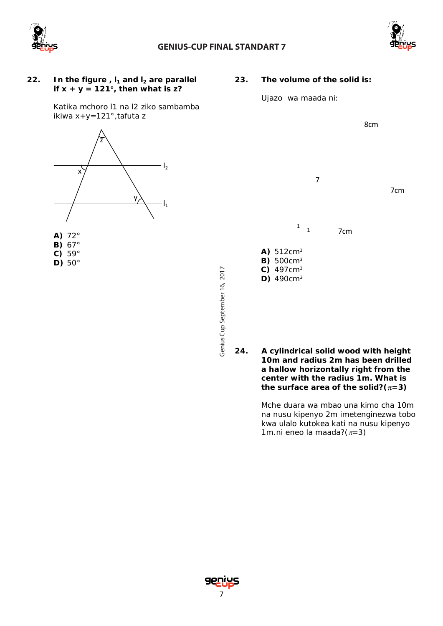

# **GENIUS-CUP FINAL STANDART 7**



7cm

8cm

## 22. **In the figure** ,  $I_1$  and  $I_2$  are parallel **if x + y = 121**°**, then what is z?**

**23. The volume of the solid is:**

7

7<sub>cm</sub>

 $\begin{array}{cc} 1 & 1 \end{array}$ 

*Ujazo wa maada ni:*

**A)** 512cm³ **B)** 500cm³ **C)** 497cm³ **D)** 490cm³

Katika mchoro l1 na l2 ziko sambamba ikiwa x+y=121°,tafuta z

![](_page_6_Picture_7.jpeg)

- **A)** 72° **B)** 67°
- **C)** 59°
- **D)** 50°
- Genius Cup September 16, 2017 Cup September 16, 2017
- 

**24. A cylindrical solid wood with height 10m and radius 2m has been drilled a hallow horizontally right from the center with the radius 1m. What is the surface area of the solid?(**π**=3)**

> *Mche duara wa mbao una kimo cha 10m na nusu kipenyo 2m imetenginezwa tobo kwa ulalo kutokea kati na nusu kipenyo 1m.ni eneo la maada?(*π*=3)*

TO THE TIME OF THE TIME OF THE TIME OF THE TIME OF THE TIME OF THE TIME OF THE TIME OF THE TIME OF THE TIME OF THE TIME OF THE TIME OF THE TIME OF THE TIME OF THE TIME OF THE TIME OF THE TIME OF THE TIME OF THE TIME OF THE

![](_page_6_Picture_16.jpeg)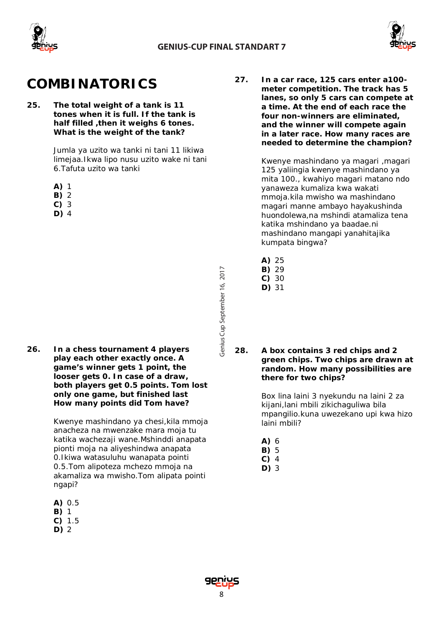![](_page_7_Picture_0.jpeg)

![](_page_7_Picture_2.jpeg)

# **COMBINATORICS**

**25. The total weight of a tank is 11 tones when it is full. If the tank is half filled ,then it weighs 6 tones. What is the weight of the tank?** 

> *Jumla ya uzito wa tanki ni tani 11 likiwa limejaa.Ikwa lipo nusu uzito wake ni tani 6.Tafuta uzito wa tanki*

- **A)** 1
- **B)** 2
- **C)** 3
- **D)** 4

**26. In a chess tournament 4 players play each other exactly once. A game's winner gets 1 point, the looser gets 0. In case of a draw, both players get 0.5 points. Tom lost only one game, but finished last How many points did Tom have?**

> *Kwenye mashindano ya chesi,kila mmoja anacheza na mwenzake mara moja tu katika wachezaji wane.Mshinddi anapata pionti moja na aliyeshindwa anapata 0.Ikiwa watasuluhu wanapata pointi 0.5.Tom alipoteza mchezo mmoja na akamaliza wa mwisho.Tom alipata pointi ngapi?*

- **A)** 0.5
- **B)** 1
- **C)** 1.5
- **D)** 2

**27. In a car race, 125 cars enter a100 meter competition. The track has 5 lanes, so only 5 cars can compete at a time. At the end of each race the four non-winners are eliminated, and the winner will compete again in a later race. How many races are needed to determine the champion?**

> *Kwenye mashindano ya magari ,magari 125 yaliingia kwenye mashindano ya mita 100., kwahiyo magari matano ndo yanaweza kumaliza kwa wakati mmoja.kila mwisho wa mashindano magari manne ambayo hayakushinda huondolewa,na mshindi atamaliza tena katika mshindano ya baadae.ni mashindano mangapi yanahitajika kumpata bingwa?*

- **A)** 25
- **B)** 29
- **C)** 30 **D)** 31

Cup September 16, 2017

Genius Cup September 16, 2017

**28. A box contains 3 red chips and 2 green chips. Two chips are drawn at random. How many possibilities are there for two chips?**

> Box lina laini 3 nyekundu na laini 2 za kijani,lani mbili zikichaguliwa bila mpangilio.kuna uwezekano upi kwa hizo laini mbili?

- **A)** 6
- **B)** 5
- **C)** 4
- **D)** 3

![](_page_7_Picture_27.jpeg)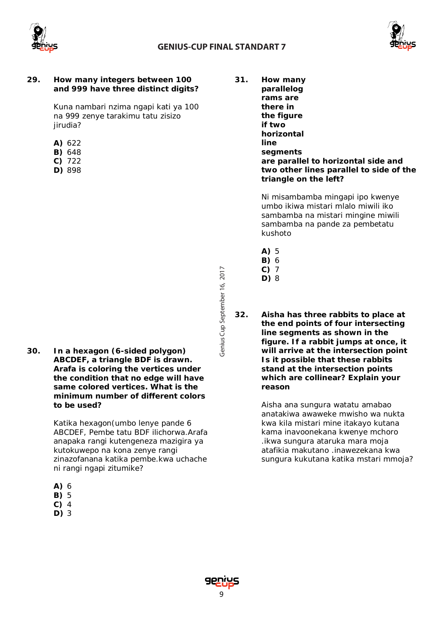![](_page_8_Picture_0.jpeg)

![](_page_8_Picture_2.jpeg)

### **29. How many integers between 100 and 999 have three distinct digits?**

*Kuna nambari nzima ngapi kati ya 100 na 999 zenye tarakimu tatu zisizo jirudia?*

- **A)** 622
- **B)** 648
- **C)** 722
- **D)** 898

**30. In a hexagon (6-sided polygon) ABCDEF, a triangle BDF is drawn. Arafa is coloring the vertices under the condition that no edge will have same colored vertices. What is the minimum number of different colors to be used?**

> *Katika hexagon(umbo lenye pande 6 ABCDEF, Pembe tatu BDF ilichorwa.Arafa anapaka rangi kutengeneza mazigira ya kutokuwepo na kona zenye rangi zinazofanana katika pembe.kwa uchache ni rangi ngapi zitumike?*

- **B)** 5
- **C)** 4
- **D)** 3

**31. How many parallelog rams are there in the figure if two horizontal line segments are parallel to horizontal side and two other lines parallel to side of the triangle on the left?**

> *Ni misambamba mingapi ipo kwenye umbo ikiwa mistari mlalo miwili iko sambamba na mistari mingine miwili sambamba na pande za pembetatu kushoto*

- **A)** 5
- **B)** 6
- **C)** 7
- **D)** 8
- **32. Aisha has three rabbits to place at the end points of four intersecting line segments as shown in the figure. If a rabbit jumps at once, it will arrive at the intersection point Is it possible that these rabbits stand at the intersection points which are collinear? Explain your reason**

*Aisha ana sungura watatu amabao anatakiwa awaweke mwisho wa nukta kwa kila mistari mine itakayo kutana kama inavoonekana kwenye mchoro .ikwa sungura ataruka mara moja atafikia makutano .inawezekana kwa sungura kukutana katika mstari mmoja?* 

![](_page_8_Picture_23.jpeg)

![](_page_8_Picture_24.jpeg)

**A)** 6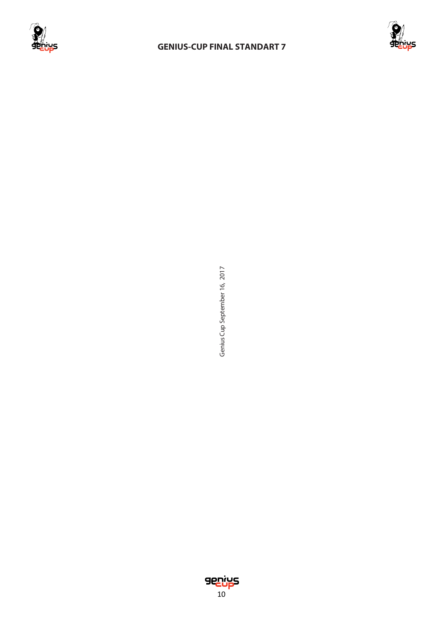![](_page_9_Picture_0.jpeg)

# **GENIUS-CUP FINAL STANDART 7**

![](_page_9_Picture_2.jpeg)

Genius Cup September 16, 2017 Cup September 16, 2017

![](_page_9_Picture_4.jpeg)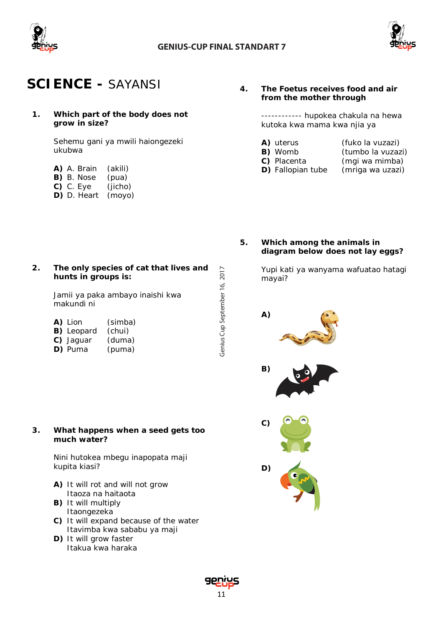![](_page_10_Picture_0.jpeg)

Genius Cup September 16, 2017

![](_page_10_Picture_2.jpeg)

# **SCIENCE -** *SAYANSI*

**1. Which part of the body does not grow in size?**

> *Sehemu gani ya mwili haiongezeki ukubwa*

**2. The only species of cat that lives and** 

| A) A. Brain | (akili) |
|-------------|---------|
| B) B. Nose  | (pua)   |
| $C)$ C. Eye | (jicho) |

**D)** D. Heart *(moyo)*

# **4. The Foetus receives food and air from the mother through**

*------------ hupokea chakula na hewa kutoka kwa mama kwa njia ya*

- **A)** uterus (fuko la vuzazi)<br>**B)** Womb (tumbo la vuzaz *(tumbo la vuzazi)*
- 
- **C)** Placenta (mgi wa mimba)
- 
- **D)** Fallopian tube (mriga wa uzazi)
- **5. Which among the animals in diagram below does not lay eggs?**

*Yupi kati ya wanyama wafuatao hatagi mayai?*

![](_page_10_Picture_17.jpeg)

| <b>A)</b> Lion    | (simba) |
|-------------------|---------|
| <b>B)</b> Leopard | (chui)  |
| C) Jaguar         | (duma)  |
| D) Puma           | (puma)  |

**hunts in groups is:**

## **3. What happens when a seed gets too much water?**

## *Nini hutokea mbegu inapopata maji kupita kiasi?*

- **A)** It will rot and will not grow Itaoza na haitaota
- **B)** It will multiply Itaongezeka
- **C)** It will expand because of the water Itavimba kwa sababu ya maji
- **D)** It will grow faster Itakua kwa haraka

![](_page_10_Picture_25.jpeg)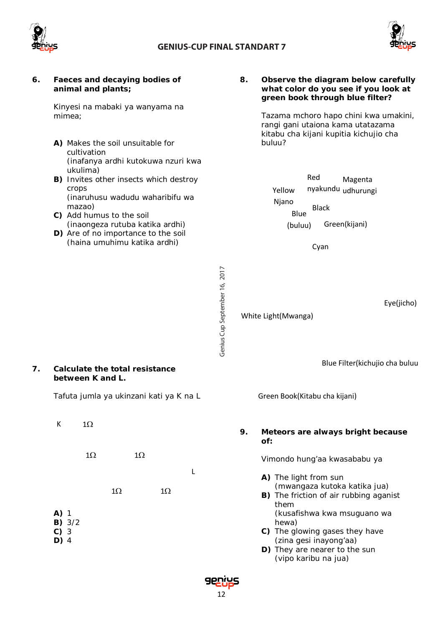![](_page_11_Picture_0.jpeg)

![](_page_11_Picture_2.jpeg)

| 6. | Faeces and decaying bodies of<br>animal and plants;<br>Kinyesi na mabaki ya wanyama na<br>mimea;<br>A) Makes the soil unsuitable for<br>cultivation                                                                                                                                  |                               | 8. | Observe the diagram below carefully<br>what color do you see if you look at<br>green book through blue filter?<br>Tazama mchoro hapo chini kwa umakini,<br>rangi gani utaiona kama utatazama<br>kitabu cha kijani kupitia kichujio cha<br>buluu?                                                                                                 |
|----|--------------------------------------------------------------------------------------------------------------------------------------------------------------------------------------------------------------------------------------------------------------------------------------|-------------------------------|----|--------------------------------------------------------------------------------------------------------------------------------------------------------------------------------------------------------------------------------------------------------------------------------------------------------------------------------------------------|
|    | (inafanya ardhi kutokuwa nzuri kwa<br>ukulima)<br>B) Invites other insects which destroy<br>crops<br>(inaruhusu wadudu waharibifu wa<br>mazao)<br>C) Add humus to the soil<br>(inaongeza rutuba katika ardhi)<br>D) Are of no importance to the soil<br>(haina umuhimu katika ardhi) |                               |    | Red<br>Magenta<br>nyakundu udhurungi<br>Yellow<br>Njano<br><b>Black</b><br>Blue<br>Green(kijani)<br>(buluu)<br>Cyan                                                                                                                                                                                                                              |
| 7. | <b>Calculate the total resistance</b><br>between K and L.                                                                                                                                                                                                                            | Genius Cup September 16, 2017 |    | Eye(jicho)<br>White Light(Mwanga)<br>Blue Filter(kichujio cha buluu                                                                                                                                                                                                                                                                              |
|    | Tafuta jumla ya ukinzani kati ya K na L                                                                                                                                                                                                                                              |                               |    | Green Book(Kitabu cha kijani)                                                                                                                                                                                                                                                                                                                    |
|    | К<br>$1\Omega$<br>$1\Omega$<br>$1\Omega$<br>L<br>$1\Omega$<br>$1\Omega$<br>$A)$ 1<br>B) 3/2<br>$C)$ 3<br>$D)$ 4                                                                                                                                                                      |                               | 9. | Meteors are always bright because<br>of:<br>Vimondo hung'aa kwasababu ya<br>A) The light from sun<br>(mwangaza kutoka katika jua)<br>B) The friction of air rubbing aganist<br>them<br>(kusafishwa kwa msuguano wa<br>hewa)<br>C) The glowing gases they have<br>(zina gesi inayong'aa)<br>D) They are nearer to the sun<br>(vipo karibu na jua) |
|    |                                                                                                                                                                                                                                                                                      | 12                            |    |                                                                                                                                                                                                                                                                                                                                                  |

![](_page_11_Picture_4.jpeg)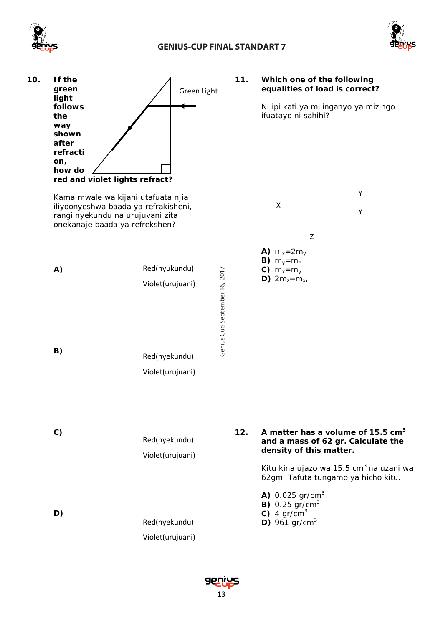![](_page_12_Picture_0.jpeg)

# **GENIUS-CUP FINAL STANDART 7**

![](_page_12_Picture_2.jpeg)

![](_page_12_Figure_3.jpeg)

![](_page_12_Picture_4.jpeg)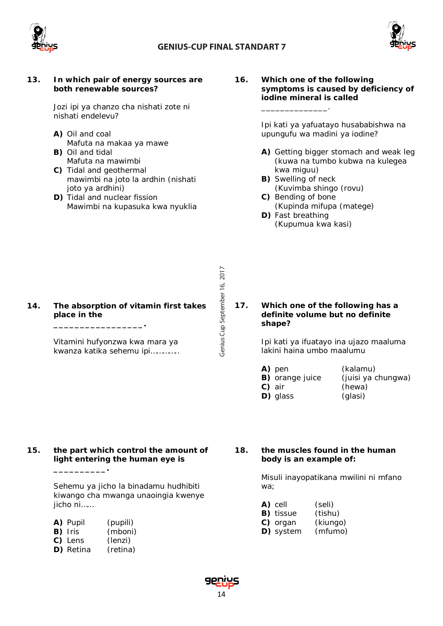![](_page_13_Picture_0.jpeg)

Genius Cup September 16, 2017

![](_page_13_Picture_2.jpeg)

### **13.** *In which pair of energy sources are both renewable sources?*

*Jozi ipi ya chanzo cha nishati zote ni nishati endelevu?*

- **A)** Oil and coal *Mafuta na makaa ya mawe* **B)** Oil and tidal
- *Mafuta na mawimbi*
- **C)** Tidal and geothermal *mawimbi na joto la ardhin (nishati joto ya ardhini)*
- **D)** Tidal and nuclear fission *Mawimbi na kupasuka kwa nyuklia*

**16. Which one of the following symptoms is caused by deficiency of iodine mineral is called**  *\_\_\_\_\_\_\_\_\_\_\_\_\_\_.*

> *Ipi kati ya yafuatayo husababishwa na upungufu wa madini ya iodine?*

- **A)** Getting bigger stomach and weak leg *(kuwa na tumbo kubwa na kulegea kwa miguu)*
- **B)** Swelling of neck *(Kuvimba shingo (rovu)*
- **C)** Bending of bone *(Kupinda mifupa (matege)* **D)** Fast breathing
	- *(Kupumua kwa kasi)*

## **14. The absorption of vitamin first takes place in the \_\_\_\_\_\_\_\_\_\_\_\_\_\_\_\_\_.**

*Vitamini hufyonzwa kwa mara ya kwanza katika sehemu ipi…………..*

# **17. Which one of the following has a definite volume but no definite shape?**

*Ipi kati ya ifuatayo ina ujazo maaluma lakini haina umbo maalumu*

- **A)** pen *(kalamu)*  **B)** orange juice *(juisi ya chungwa)*
- **D)** glass *(glasi)*
- **C)** air *(hewa)*
- 
- 

# **15. the part which control the amount of light entering the human eye is**

*Sehemu ya jicho la binadamu hudhibiti kiwango cha mwanga unaoingia kwenye jicho ni……*

- **A)** Pupil *(pupili)*
- **B)** Iris *(mboni)*

**\_\_\_\_\_\_\_\_\_\_.**

- **C)** Lens *(lenzi)*
- **D)** Retina *(retina)*

**18. the muscles found in the human body is an example of:**

> *Misuli inayopatikana mwilini ni mfano wa;*

- **A)** cell *(seli)*
- **B)** tissue *(tishu)*
- **C)** organ *(kiungo)*
- **D)** system *(mfumo)*

![](_page_13_Picture_36.jpeg)